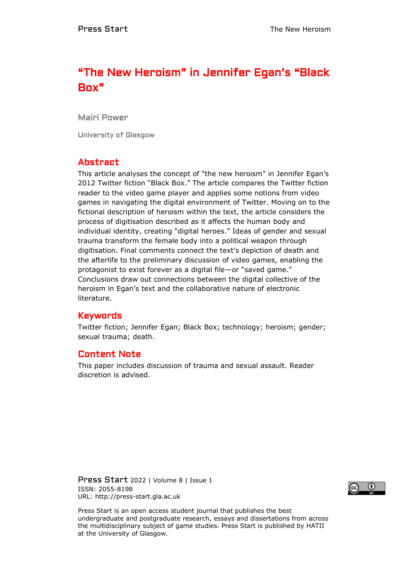# "The New Heroism" in Jennifer Egan's "Black Box"

Mairi Power

University of Glasgow

# Abstract

This article analyses the concept of "the new heroism" in Jennifer Egan's 2012 Twitter fiction "Black Box." The article compares the Twitter fiction reader to the video game player and applies some notions from video games in navigating the digital environment of Twitter. Moving on to the fictional description of heroism within the text, the article considers the process of digitisation described as it affects the human body and individual identity, creating "digital heroes." Ideas of gender and sexual trauma transform the female body into a political weapon through digitisation. Final comments connect the text's depiction of death and the afterlife to the preliminary discussion of video games, enabling the protagonist to exist forever as a digital file—or "saved game." Conclusions draw out connections between the digital collective of the heroism in Egan's text and the collaborative nature of electronic literature.

### Keywords

Twitter fiction; Jennifer Egan; Black Box; technology; heroism; gender; sexual trauma; death.

# Content Note

This paper includes discussion of trauma and sexual assault. Reader discretion is advised.

Press Start 2022 | Volume 8 | Issue 1 ISSN: 2055-8198 URL: http://press-start.gla.ac.uk



Press Start is an open access student journal that publishes the best undergraduate and postgraduate research, essays and dissertations from across the multidisciplinary subject of game studies. Press Start is published by HATII at the University of Glasgow.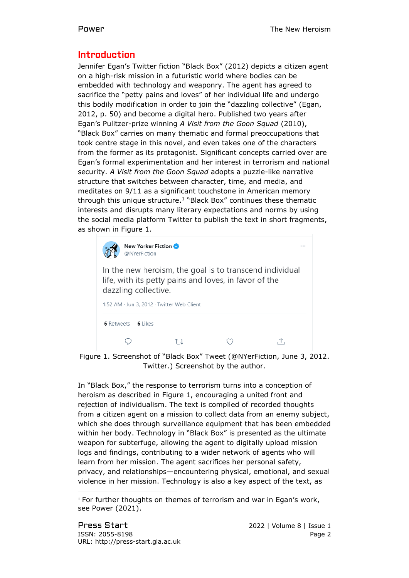# Introduction

Jennifer Egan's Twitter fiction "Black Box" (2012) depicts a citizen agent on a high-risk mission in a futuristic world where bodies can be embedded with technology and weaponry. The agent has agreed to sacrifice the "petty pains and loves" of her individual life and undergo this bodily modification in order to join the "dazzling collective" (Egan, 2012, p. 50) and become a digital hero. Published two years after Egan's Pulitzer-prize winning *A Visit from the Goon Squad* (2010), "Black Box" carries on many thematic and formal preoccupations that took centre stage in this novel, and even takes one of the characters from the former as its protagonist. Significant concepts carried over are Egan's formal experimentation and her interest in terrorism and national security. *A Visit from the Goon Squad* adopts a puzzle-like narrative structure that switches between character, time, and media, and meditates on 9/11 as a significant touchstone in American memory through this unique structure. $1$  "Black Box" continues these thematic interests and disrupts many literary expectations and norms by using the social media platform Twitter to publish the text in short fragments, as shown in Figure 1.

| New Yorker Fiction<br>@NYerFiction                                                                                                                                                     |  |  |  |
|----------------------------------------------------------------------------------------------------------------------------------------------------------------------------------------|--|--|--|
| In the new heroism, the goal is to transcend individual<br>life, with its petty pains and loves, in favor of the<br>dazzling collective.<br>1:52 AM · Jun 3, 2012 · Twitter Web Client |  |  |  |
| <b>6</b> Retweets<br>6 Likes                                                                                                                                                           |  |  |  |
|                                                                                                                                                                                        |  |  |  |

Figure 1. Screenshot of "Black Box" Tweet (@NYerFiction, June 3, 2012. Twitter.) Screenshot by the author.

In "Black Box," the response to terrorism turns into a conception of heroism as described in Figure 1, encouraging a united front and rejection of individualism. The text is compiled of recorded thoughts from a citizen agent on a mission to collect data from an enemy subject, which she does through surveillance equipment that has been embedded within her body. Technology in "Black Box" is presented as the ultimate weapon for subterfuge, allowing the agent to digitally upload mission logs and findings, contributing to a wider network of agents who will learn from her mission. The agent sacrifices her personal safety, privacy, and relationships—encountering physical, emotional, and sexual violence in her mission. Technology is also a key aspect of the text, as

<sup>&</sup>lt;sup>1</sup> For further thoughts on themes of terrorism and war in Egan's work, see Power (2021).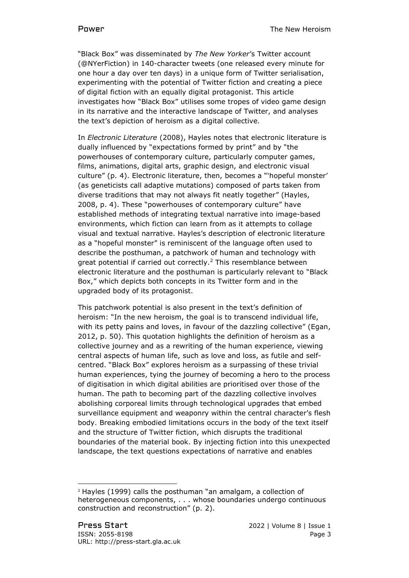"Black Box" was disseminated by *The New Yorker*'s Twitter account (@NYerFiction) in 140-character tweets (one released every minute for one hour a day over ten days) in a unique form of Twitter serialisation, experimenting with the potential of Twitter fiction and creating a piece of digital fiction with an equally digital protagonist. This article investigates how "Black Box" utilises some tropes of video game design in its narrative and the interactive landscape of Twitter, and analyses the text's depiction of heroism as a digital collective.

In *Electronic Literature* (2008), Hayles notes that electronic literature is dually influenced by "expectations formed by print" and by "the powerhouses of contemporary culture, particularly computer games, films, animations, digital arts, graphic design, and electronic visual culture" (p. 4). Electronic literature, then, becomes a "'hopeful monster' (as geneticists call adaptive mutations) composed of parts taken from diverse traditions that may not always fit neatly together" (Hayles, 2008, p. 4). These "powerhouses of contemporary culture" have established methods of integrating textual narrative into image-based environments, which fiction can learn from as it attempts to collage visual and textual narrative. Hayles's description of electronic literature as a "hopeful monster" is reminiscent of the language often used to describe the posthuman, a patchwork of human and technology with great potential if carried out correctly.<sup>2</sup> This resemblance between electronic literature and the posthuman is particularly relevant to "Black Box," which depicts both concepts in its Twitter form and in the upgraded body of its protagonist.

This patchwork potential is also present in the text's definition of heroism: "In the new heroism, the goal is to transcend individual life, with its petty pains and loves, in favour of the dazzling collective" (Egan, 2012, p. 50). This quotation highlights the definition of heroism as a collective journey and as a rewriting of the human experience, viewing central aspects of human life, such as love and loss, as futile and selfcentred. "Black Box" explores heroism as a surpassing of these trivial human experiences, tying the journey of becoming a hero to the process of digitisation in which digital abilities are prioritised over those of the human. The path to becoming part of the dazzling collective involves abolishing corporeal limits through technological upgrades that embed surveillance equipment and weaponry within the central character's flesh body. Breaking embodied limitations occurs in the body of the text itself and the structure of Twitter fiction, which disrupts the traditional boundaries of the material book. By injecting fiction into this unexpected landscape, the text questions expectations of narrative and enables

<sup>2</sup> Hayles (1999) calls the posthuman "an amalgam, a collection of heterogeneous components, . . . whose boundaries undergo continuous construction and reconstruction" (p. 2).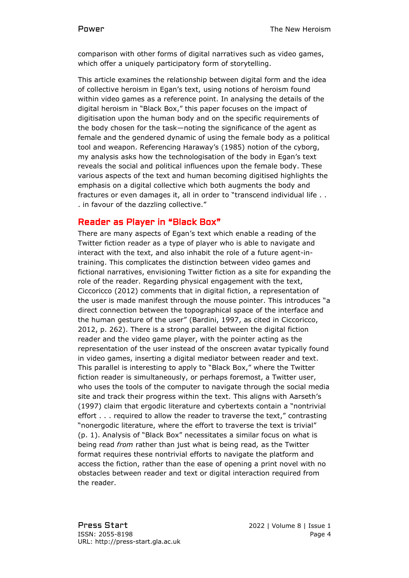comparison with other forms of digital narratives such as video games, which offer a uniquely participatory form of storytelling.

This article examines the relationship between digital form and the idea of collective heroism in Egan's text, using notions of heroism found within video games as a reference point. In analysing the details of the digital heroism in "Black Box," this paper focuses on the impact of digitisation upon the human body and on the specific requirements of the body chosen for the task—noting the significance of the agent as female and the gendered dynamic of using the female body as a political tool and weapon. Referencing Haraway's (1985) notion of the cyborg, my analysis asks how the technologisation of the body in Egan's text reveals the social and political influences upon the female body. These various aspects of the text and human becoming digitised highlights the emphasis on a digital collective which both augments the body and fractures or even damages it, all in order to "transcend individual life . . . in favour of the dazzling collective."

# Reader as Player in "Black Box"

There are many aspects of Egan's text which enable a reading of the Twitter fiction reader as a type of player who is able to navigate and interact with the text, and also inhabit the role of a future agent-intraining. This complicates the distinction between video games and fictional narratives, envisioning Twitter fiction as a site for expanding the role of the reader. Regarding physical engagement with the text, Ciccoricco (2012) comments that in digital fiction, a representation of the user is made manifest through the mouse pointer. This introduces "a direct connection between the topographical space of the interface and the human gesture of the user" (Bardini, 1997, as cited in Ciccoricco, 2012, p. 262). There is a strong parallel between the digital fiction reader and the video game player, with the pointer acting as the representation of the user instead of the onscreen avatar typically found in video games, inserting a digital mediator between reader and text. This parallel is interesting to apply to "Black Box," where the Twitter fiction reader is simultaneously, or perhaps foremost, a Twitter user, who uses the tools of the computer to navigate through the social media site and track their progress within the text. This aligns with Aarseth's (1997) claim that ergodic literature and cybertexts contain a "nontrivial effort . . . required to allow the reader to traverse the text," contrasting "nonergodic literature, where the effort to traverse the text is trivial" (p. 1). Analysis of "Black Box" necessitates a similar focus on what is being read *from* rather than just what is being read*,* as the Twitter format requires these nontrivial efforts to navigate the platform and access the fiction, rather than the ease of opening a print novel with no obstacles between reader and text or digital interaction required from the reader.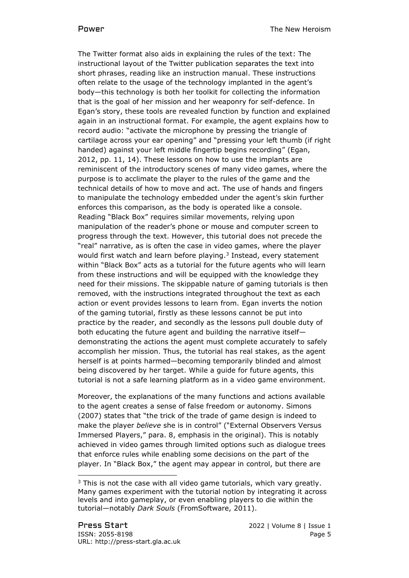The Twitter format also aids in explaining the rules of the text: The instructional layout of the Twitter publication separates the text into short phrases, reading like an instruction manual. These instructions often relate to the usage of the technology implanted in the agent's body—this technology is both her toolkit for collecting the information that is the goal of her mission and her weaponry for self-defence. In Egan's story, these tools are revealed function by function and explained again in an instructional format. For example, the agent explains how to record audio: "activate the microphone by pressing the triangle of cartilage across your ear opening" and "pressing your left thumb (if right handed) against your left middle fingertip begins recording" (Egan, 2012, pp. 11, 14). These lessons on how to use the implants are reminiscent of the introductory scenes of many video games, where the purpose is to acclimate the player to the rules of the game and the technical details of how to move and act. The use of hands and fingers to manipulate the technology embedded under the agent's skin further enforces this comparison, as the body is operated like a console. Reading "Black Box" requires similar movements, relying upon manipulation of the reader's phone or mouse and computer screen to progress through the text. However, this tutorial does not precede the "real" narrative, as is often the case in video games, where the player would first watch and learn before playing.<sup>3</sup> Instead, every statement within "Black Box" acts as a tutorial for the future agents who will learn from these instructions and will be equipped with the knowledge they need for their missions. The skippable nature of gaming tutorials is then removed, with the instructions integrated throughout the text as each action or event provides lessons to learn from. Egan inverts the notion of the gaming tutorial, firstly as these lessons cannot be put into practice by the reader, and secondly as the lessons pull double duty of both educating the future agent and building the narrative itself demonstrating the actions the agent must complete accurately to safely accomplish her mission. Thus, the tutorial has real stakes, as the agent herself is at points harmed—becoming temporarily blinded and almost being discovered by her target. While a guide for future agents, this tutorial is not a safe learning platform as in a video game environment.

Moreover, the explanations of the many functions and actions available to the agent creates a sense of false freedom or autonomy. Simons (2007) states that "the trick of the trade of game design is indeed to make the player *believe* she is in control" ("External Observers Versus Immersed Players," para. 8, emphasis in the original). This is notably achieved in video games through limited options such as dialogue trees that enforce rules while enabling some decisions on the part of the player. In "Black Box," the agent may appear in control, but there are

 $3$  This is not the case with all video game tutorials, which vary greatly. Many games experiment with the tutorial notion by integrating it across levels and into gameplay, or even enabling players to die within the tutorial—notably *Dark Souls* (FromSoftware, 2011).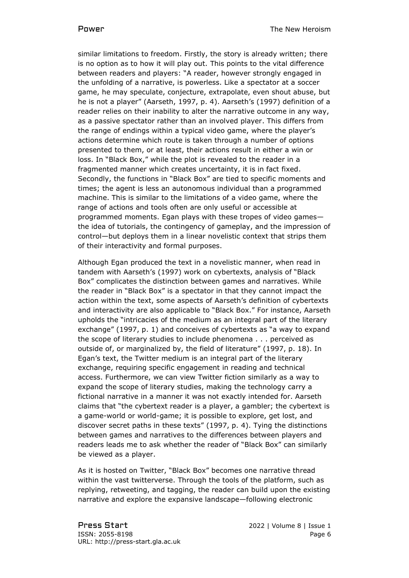similar limitations to freedom. Firstly, the story is already written; there is no option as to how it will play out. This points to the vital difference between readers and players: "A reader, however strongly engaged in the unfolding of a narrative, is powerless. Like a spectator at a soccer game, he may speculate, conjecture, extrapolate, even shout abuse, but he is not a player" (Aarseth, 1997, p. 4). Aarseth's (1997) definition of a reader relies on their inability to alter the narrative outcome in any way, as a passive spectator rather than an involved player. This differs from the range of endings within a typical video game, where the player's actions determine which route is taken through a number of options presented to them, or at least, their actions result in either a win or loss. In "Black Box," while the plot is revealed to the reader in a fragmented manner which creates uncertainty, it is in fact fixed. Secondly, the functions in "Black Box" are tied to specific moments and times; the agent is less an autonomous individual than a programmed machine. This is similar to the limitations of a video game, where the range of actions and tools often are only useful or accessible at programmed moments. Egan plays with these tropes of video games the idea of tutorials, the contingency of gameplay, and the impression of control—but deploys them in a linear novelistic context that strips them of their interactivity and formal purposes.

Although Egan produced the text in a novelistic manner, when read in tandem with Aarseth's (1997) work on cybertexts, analysis of "Black Box" complicates the distinction between games and narratives. While the reader in "Black Box" is a spectator in that they cannot impact the action within the text, some aspects of Aarseth's definition of cybertexts and interactivity are also applicable to "Black Box." For instance, Aarseth upholds the "intricacies of the medium as an integral part of the literary exchange" (1997, p. 1) and conceives of cybertexts as "a way to expand the scope of literary studies to include phenomena . . . perceived as outside of, or marginalized by, the field of literature" (1997, p. 18). In Egan's text, the Twitter medium is an integral part of the literary exchange, requiring specific engagement in reading and technical access. Furthermore, we can view Twitter fiction similarly as a way to expand the scope of literary studies, making the technology carry a fictional narrative in a manner it was not exactly intended for. Aarseth claims that "the cybertext reader is a player, a gambler; the cybertext is a game-world or world-game; it is possible to explore, get lost, and discover secret paths in these texts" (1997, p. 4). Tying the distinctions between games and narratives to the differences between players and readers leads me to ask whether the reader of "Black Box" can similarly be viewed as a player.

As it is hosted on Twitter, "Black Box" becomes one narrative thread within the vast twitterverse. Through the tools of the platform, such as replying, retweeting, and tagging, the reader can build upon the existing narrative and explore the expansive landscape—following electronic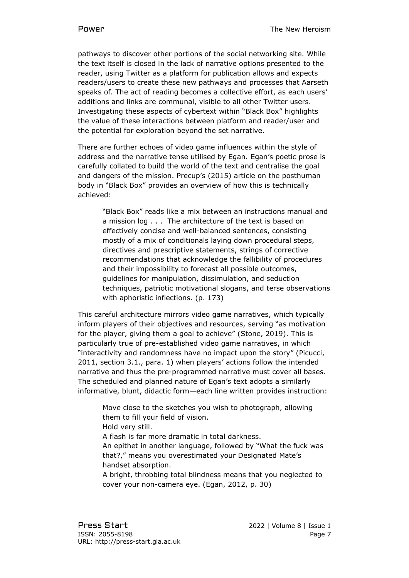pathways to discover other portions of the social networking site. While the text itself is closed in the lack of narrative options presented to the reader, using Twitter as a platform for publication allows and expects readers/users to create these new pathways and processes that Aarseth speaks of. The act of reading becomes a collective effort, as each users' additions and links are communal, visible to all other Twitter users. Investigating these aspects of cybertext within "Black Box" highlights the value of these interactions between platform and reader/user and the potential for exploration beyond the set narrative.

There are further echoes of video game influences within the style of address and the narrative tense utilised by Egan. Egan's poetic prose is carefully collated to build the world of the text and centralise the goal and dangers of the mission. Precup's (2015) article on the posthuman body in "Black Box" provides an overview of how this is technically achieved:

"Black Box" reads like a mix between an instructions manual and a mission log . . . The architecture of the text is based on effectively concise and well-balanced sentences, consisting mostly of a mix of conditionals laying down procedural steps, directives and prescriptive statements, strings of corrective recommendations that acknowledge the fallibility of procedures and their impossibility to forecast all possible outcomes, guidelines for manipulation, dissimulation, and seduction techniques, patriotic motivational slogans, and terse observations with aphoristic inflections. (p. 173)

This careful architecture mirrors video game narratives, which typically inform players of their objectives and resources, serving "as motivation for the player, giving them a goal to achieve" (Stone, 2019). This is particularly true of pre-established video game narratives, in which "interactivity and randomness have no impact upon the story" (Picucci, 2011, section 3.1., para. 1) when players' actions follow the intended narrative and thus the pre-programmed narrative must cover all bases. The scheduled and planned nature of Egan's text adopts a similarly informative, blunt, didactic form—each line written provides instruction:

Move close to the sketches you wish to photograph, allowing them to fill your field of vision. Hold very still. A flash is far more dramatic in total darkness. An epithet in another language, followed by "What the fuck was that?," means you overestimated your Designated Mate's handset absorption. A bright, throbbing total blindness means that you neglected to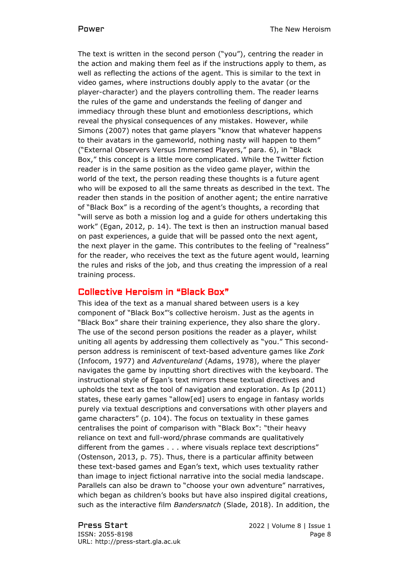The text is written in the second person ("you"), centring the reader in the action and making them feel as if the instructions apply to them, as well as reflecting the actions of the agent. This is similar to the text in video games, where instructions doubly apply to the avatar (or the player-character) and the players controlling them. The reader learns the rules of the game and understands the feeling of danger and immediacy through these blunt and emotionless descriptions, which reveal the physical consequences of any mistakes. However, while Simons (2007) notes that game players "know that whatever happens to their avatars in the gameworld, nothing nasty will happen to them" ("External Observers Versus Immersed Players," para. 6), in "Black Box," this concept is a little more complicated. While the Twitter fiction reader is in the same position as the video game player, within the world of the text, the person reading these thoughts is a future agent who will be exposed to all the same threats as described in the text. The reader then stands in the position of another agent; the entire narrative of "Black Box" is a recording of the agent's thoughts, a recording that "will serve as both a mission log and a guide for others undertaking this work" (Egan, 2012, p. 14). The text is then an instruction manual based on past experiences, a guide that will be passed onto the next agent, the next player in the game. This contributes to the feeling of "realness" for the reader, who receives the text as the future agent would, learning the rules and risks of the job, and thus creating the impression of a real training process.

### Collective Heroism in "Black Box"

This idea of the text as a manual shared between users is a key component of "Black Box"'s collective heroism. Just as the agents in "Black Box" share their training experience, they also share the glory. The use of the second person positions the reader as a player, whilst uniting all agents by addressing them collectively as "you." This secondperson address is reminiscent of text-based adventure games like *Zork* (Infocom, 1977) and *Adventureland* (Adams, 1978), where the player navigates the game by inputting short directives with the keyboard. The instructional style of Egan's text mirrors these textual directives and upholds the text as the tool of navigation and exploration. As Ip (2011) states, these early games "allow[ed] users to engage in fantasy worlds purely via textual descriptions and conversations with other players and game characters" (p. 104). The focus on textuality in these games centralises the point of comparison with "Black Box": "their heavy reliance on text and full-word/phrase commands are qualitatively different from the games . . . where visuals replace text descriptions" (Ostenson, 2013, p. 75). Thus, there is a particular affinity between these text-based games and Egan's text, which uses textuality rather than image to inject fictional narrative into the social media landscape. Parallels can also be drawn to "choose your own adventure" narratives, which began as children's books but have also inspired digital creations, such as the interactive film *Bandersnatch* (Slade, 2018). In addition, the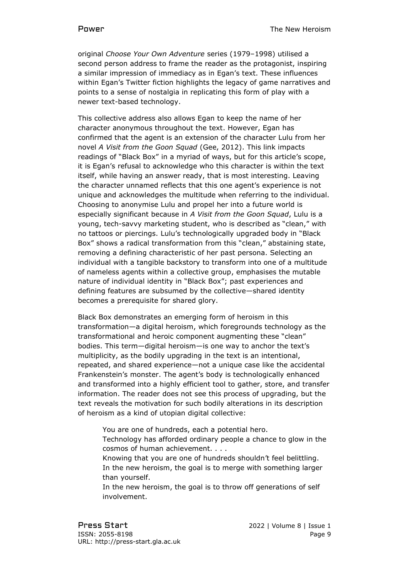original *Choose Your Own Adventure* series (1979–1998) utilised a second person address to frame the reader as the protagonist, inspiring a similar impression of immediacy as in Egan's text. These influences within Egan's Twitter fiction highlights the legacy of game narratives and points to a sense of nostalgia in replicating this form of play with a newer text-based technology.

This collective address also allows Egan to keep the name of her character anonymous throughout the text. However, Egan has confirmed that the agent is an extension of the character Lulu from her novel *A Visit from the Goon Squad* (Gee, 2012). This link impacts readings of "Black Box" in a myriad of ways, but for this article's scope, it is Egan's refusal to acknowledge who this character is within the text itself, while having an answer ready, that is most interesting. Leaving the character unnamed reflects that this one agent's experience is not unique and acknowledges the multitude when referring to the individual. Choosing to anonymise Lulu and propel her into a future world is especially significant because in *A Visit from the Goon Squad*, Lulu is a young, tech-savvy marketing student, who is described as "clean," with no tattoos or piercings. Lulu's technologically upgraded body in "Black Box" shows a radical transformation from this "clean," abstaining state, removing a defining characteristic of her past persona. Selecting an individual with a tangible backstory to transform into one of a multitude of nameless agents within a collective group, emphasises the mutable nature of individual identity in "Black Box"; past experiences and defining features are subsumed by the collective—shared identity becomes a prerequisite for shared glory.

Black Box demonstrates an emerging form of heroism in this transformation—a digital heroism, which foregrounds technology as the transformational and heroic component augmenting these "clean" bodies. This term—digital heroism—is one way to anchor the text's multiplicity, as the bodily upgrading in the text is an intentional, repeated, and shared experience—not a unique case like the accidental Frankenstein's monster. The agent's body is technologically enhanced and transformed into a highly efficient tool to gather, store, and transfer information. The reader does not see this process of upgrading, but the text reveals the motivation for such bodily alterations in its description of heroism as a kind of utopian digital collective:

You are one of hundreds, each a potential hero.

Technology has afforded ordinary people a chance to glow in the cosmos of human achievement. . . .

- Knowing that you are one of hundreds shouldn't feel belittling. In the new heroism, the goal is to merge with something larger than yourself.
- In the new heroism, the goal is to throw off generations of self involvement.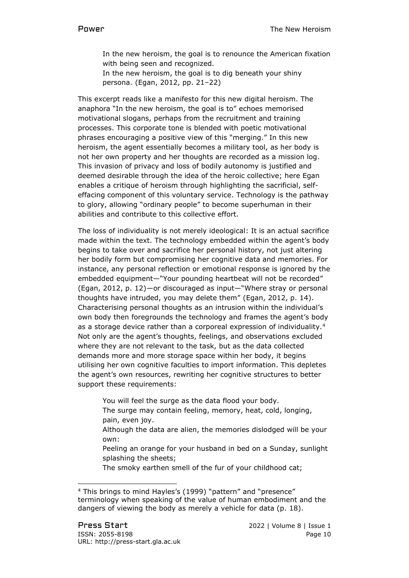In the new heroism, the goal is to renounce the American fixation with being seen and recognized.

In the new heroism, the goal is to dig beneath your shiny persona. (Egan, 2012, pp. 21–22)

This excerpt reads like a manifesto for this new digital heroism. The anaphora "In the new heroism, the goal is to" echoes memorised motivational slogans, perhaps from the recruitment and training processes. This corporate tone is blended with poetic motivational phrases encouraging a positive view of this "merging." In this new heroism, the agent essentially becomes a military tool, as her body is not her own property and her thoughts are recorded as a mission log. This invasion of privacy and loss of bodily autonomy is justified and deemed desirable through the idea of the heroic collective; here Egan enables a critique of heroism through highlighting the sacrificial, selfeffacing component of this voluntary service. Technology is the pathway to glory, allowing "ordinary people" to become superhuman in their abilities and contribute to this collective effort.

The loss of individuality is not merely ideological: It is an actual sacrifice made within the text. The technology embedded within the agent's body begins to take over and sacrifice her personal history, not just altering her bodily form but compromising her cognitive data and memories. For instance, any personal reflection or emotional response is ignored by the embedded equipment—"Your pounding heartbeat will not be recorded" (Egan, 2012, p. 12)—or discouraged as input—"Where stray or personal thoughts have intruded, you may delete them" (Egan, 2012, p. 14). Characterising personal thoughts as an intrusion within the individual's own body then foregrounds the technology and frames the agent's body as a storage device rather than a corporeal expression of individuality.<sup>4</sup> Not only are the agent's thoughts, feelings, and observations excluded where they are not relevant to the task, but as the data collected demands more and more storage space within her body, it begins utilising her own cognitive faculties to import information. This depletes the agent's own resources, rewriting her cognitive structures to better support these requirements:

You will feel the surge as the data flood your body.

The surge may contain feeling, memory, heat, cold, longing, pain, even joy.

- Although the data are alien, the memories dislodged will be your own:
- Peeling an orange for your husband in bed on a Sunday, sunlight splashing the sheets;

The smoky earthen smell of the fur of your childhood cat;

<sup>4</sup> This brings to mind Hayles's (1999) "pattern" and "presence" terminology when speaking of the value of human embodiment and the dangers of viewing the body as merely a vehicle for data (p. 18).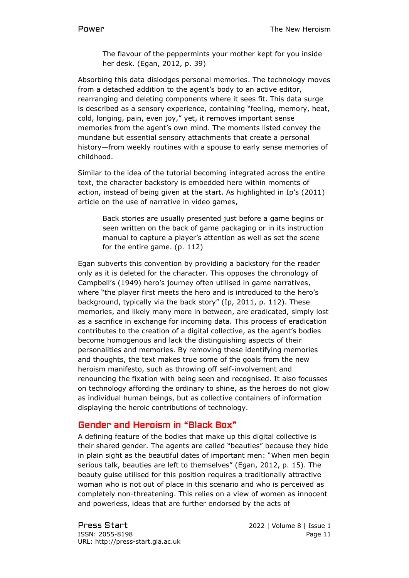The flavour of the peppermints your mother kept for you inside her desk. (Egan, 2012, p. 39)

Absorbing this data dislodges personal memories. The technology moves from a detached addition to the agent's body to an active editor, rearranging and deleting components where it sees fit. This data surge is described as a sensory experience, containing "feeling, memory, heat, cold, longing, pain, even joy," yet, it removes important sense memories from the agent's own mind. The moments listed convey the mundane but essential sensory attachments that create a personal history—from weekly routines with a spouse to early sense memories of childhood.

Similar to the idea of the tutorial becoming integrated across the entire text, the character backstory is embedded here within moments of action, instead of being given at the start. As highlighted in Ip's (2011) article on the use of narrative in video games,

Back stories are usually presented just before a game begins or seen written on the back of game packaging or in its instruction manual to capture a player's attention as well as set the scene for the entire game. (p. 112)

Egan subverts this convention by providing a backstory for the reader only as it is deleted for the character. This opposes the chronology of Campbell's (1949) hero's journey often utilised in game narratives, where "the player first meets the hero and is introduced to the hero's background, typically via the back story" (Ip, 2011, p. 112). These memories, and likely many more in between, are eradicated, simply lost as a sacrifice in exchange for incoming data. This process of eradication contributes to the creation of a digital collective, as the agent's bodies become homogenous and lack the distinguishing aspects of their personalities and memories. By removing these identifying memories and thoughts, the text makes true some of the goals from the new heroism manifesto, such as throwing off self-involvement and renouncing the fixation with being seen and recognised. It also focusses on technology affording the ordinary to shine, as the heroes do not glow as individual human beings, but as collective containers of information displaying the heroic contributions of technology.

# Gender and Heroism in "Black Box"

A defining feature of the bodies that make up this digital collective is their shared gender. The agents are called "beauties" because they hide in plain sight as the beautiful dates of important men: "When men begin serious talk, beauties are left to themselves" (Egan, 2012, p. 15). The beauty guise utilised for this position requires a traditionally attractive woman who is not out of place in this scenario and who is perceived as completely non-threatening. This relies on a view of women as innocent and powerless, ideas that are further endorsed by the acts of

Press Start 2022 | Volume 8 | Issue 1 ISSN: 2055-8198 Page 11 URL: http://press-start.gla.ac.uk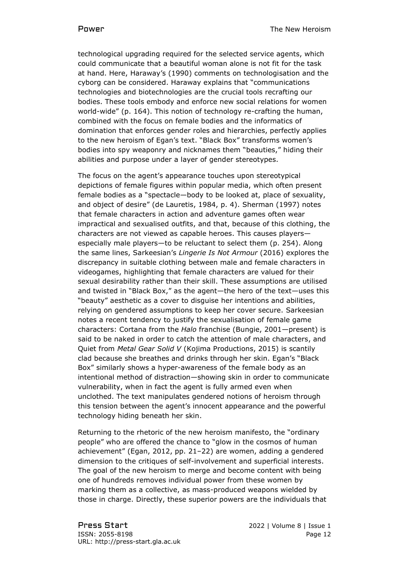technological upgrading required for the selected service agents, which could communicate that a beautiful woman alone is not fit for the task at hand. Here, Haraway's (1990) comments on technologisation and the cyborg can be considered. Haraway explains that "communications technologies and biotechnologies are the crucial tools recrafting our bodies. These tools embody and enforce new social relations for women world-wide" (p. 164). This notion of technology re-crafting the human, combined with the focus on female bodies and the informatics of domination that enforces gender roles and hierarchies, perfectly applies to the new heroism of Egan's text. "Black Box" transforms women's bodies into spy weaponry and nicknames them "beauties," hiding their abilities and purpose under a layer of gender stereotypes.

The focus on the agent's appearance touches upon stereotypical depictions of female figures within popular media, which often present female bodies as a "spectacle—body to be looked at, place of sexuality, and object of desire" (de Lauretis, 1984, p. 4). Sherman (1997) notes that female characters in action and adventure games often wear impractical and sexualised outfits, and that, because of this clothing, the characters are not viewed as capable heroes. This causes players especially male players—to be reluctant to select them (p. 254). Along the same lines, Sarkeesian's *Lingerie Is Not Armour* (2016) explores the discrepancy in suitable clothing between male and female characters in videogames, highlighting that female characters are valued for their sexual desirability rather than their skill. These assumptions are utilised and twisted in "Black Box," as the agent—the hero of the text—uses this "beauty" aesthetic as a cover to disguise her intentions and abilities, relying on gendered assumptions to keep her cover secure. Sarkeesian notes a recent tendency to justify the sexualisation of female game characters: Cortana from the *Halo* franchise (Bungie, 2001—present) is said to be naked in order to catch the attention of male characters, and Quiet from *Metal Gear Solid V* (Kojima Productions, 2015) is scantily clad because she breathes and drinks through her skin. Egan's "Black Box" similarly shows a hyper-awareness of the female body as an intentional method of distraction—showing skin in order to communicate vulnerability, when in fact the agent is fully armed even when unclothed. The text manipulates gendered notions of heroism through this tension between the agent's innocent appearance and the powerful technology hiding beneath her skin.

Returning to the rhetoric of the new heroism manifesto, the "ordinary people" who are offered the chance to "glow in the cosmos of human achievement" (Egan, 2012, pp. 21–22) are women, adding a gendered dimension to the critiques of self-involvement and superficial interests. The goal of the new heroism to merge and become content with being one of hundreds removes individual power from these women by marking them as a collective, as mass-produced weapons wielded by those in charge. Directly, these superior powers are the individuals that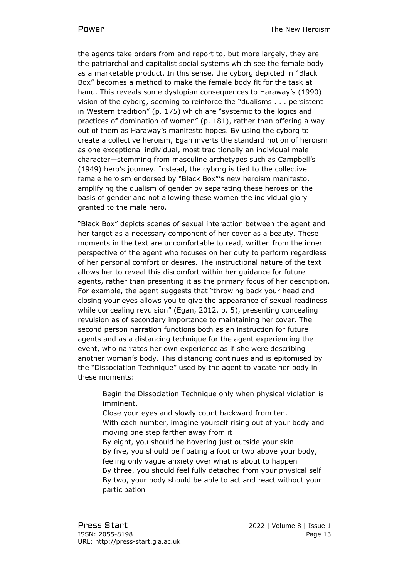the agents take orders from and report to, but more largely, they are the patriarchal and capitalist social systems which see the female body as a marketable product. In this sense, the cyborg depicted in "Black Box" becomes a method to make the female body fit for the task at hand. This reveals some dystopian consequences to Haraway's (1990) vision of the cyborg, seeming to reinforce the "dualisms . . . persistent in Western tradition" (p. 175) which are "systemic to the logics and practices of domination of women" (p. 181), rather than offering a way out of them as Haraway's manifesto hopes. By using the cyborg to create a collective heroism, Egan inverts the standard notion of heroism as one exceptional individual, most traditionally an individual male character—stemming from masculine archetypes such as Campbell's (1949) hero's journey. Instead, the cyborg is tied to the collective female heroism endorsed by "Black Box"'s new heroism manifesto, amplifying the dualism of gender by separating these heroes on the basis of gender and not allowing these women the individual glory granted to the male hero.

"Black Box" depicts scenes of sexual interaction between the agent and her target as a necessary component of her cover as a beauty. These moments in the text are uncomfortable to read, written from the inner perspective of the agent who focuses on her duty to perform regardless of her personal comfort or desires. The instructional nature of the text allows her to reveal this discomfort within her guidance for future agents, rather than presenting it as the primary focus of her description. For example, the agent suggests that "throwing back your head and closing your eyes allows you to give the appearance of sexual readiness while concealing revulsion" (Egan, 2012, p. 5), presenting concealing revulsion as of secondary importance to maintaining her cover. The second person narration functions both as an instruction for future agents and as a distancing technique for the agent experiencing the event, who narrates her own experience as if she were describing another woman's body. This distancing continues and is epitomised by the "Dissociation Technique" used by the agent to vacate her body in these moments:

Begin the Dissociation Technique only when physical violation is imminent.

Close your eyes and slowly count backward from ten. With each number, imagine yourself rising out of your body and moving one step farther away from it By eight, you should be hovering just outside your skin By five, you should be floating a foot or two above your body, feeling only vague anxiety over what is about to happen

By three, you should feel fully detached from your physical self By two, your body should be able to act and react without your participation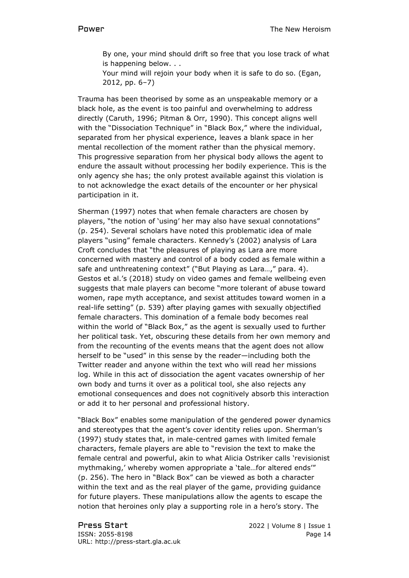By one, your mind should drift so free that you lose track of what is happening below. . .

Your mind will rejoin your body when it is safe to do so. (Egan, 2012, pp. 6–7)

Trauma has been theorised by some as an unspeakable memory or a black hole, as the event is too painful and overwhelming to address directly (Caruth, 1996; Pitman & Orr, 1990). This concept aligns well with the "Dissociation Technique" in "Black Box," where the individual, separated from her physical experience, leaves a blank space in her mental recollection of the moment rather than the physical memory. This progressive separation from her physical body allows the agent to endure the assault without processing her bodily experience. This is the only agency she has; the only protest available against this violation is to not acknowledge the exact details of the encounter or her physical participation in it.

Sherman (1997) notes that when female characters are chosen by players, "the notion of 'using' her may also have sexual connotations" (p. 254). Several scholars have noted this problematic idea of male players "using" female characters. Kennedy's (2002) analysis of Lara Croft concludes that "the pleasures of playing as Lara are more concerned with mastery and control of a body coded as female within a safe and unthreatening context" ("But Playing as Lara...," para. 4). Gestos et al.'s (2018) study on video games and female wellbeing even suggests that male players can become "more tolerant of abuse toward women, rape myth acceptance, and sexist attitudes toward women in a real-life setting" (p. 539) after playing games with sexually objectified female characters. This domination of a female body becomes real within the world of "Black Box," as the agent is sexually used to further her political task. Yet, obscuring these details from her own memory and from the recounting of the events means that the agent does not allow herself to be "used" in this sense by the reader—including both the Twitter reader and anyone within the text who will read her missions log. While in this act of dissociation the agent vacates ownership of her own body and turns it over as a political tool, she also rejects any emotional consequences and does not cognitively absorb this interaction or add it to her personal and professional history.

"Black Box" enables some manipulation of the gendered power dynamics and stereotypes that the agent's cover identity relies upon. Sherman's (1997) study states that, in male-centred games with limited female characters, female players are able to "revision the text to make the female central and powerful, akin to what Alicia Ostriker calls 'revisionist mythmaking,' whereby women appropriate a 'tale...for altered ends'" (p. 256). The hero in "Black Box" can be viewed as both a character within the text and as the real player of the game, providing guidance for future players. These manipulations allow the agents to escape the notion that heroines only play a supporting role in a hero's story. The

Press Start 2022 | Volume 8 | Issue 1 ISSN: 2055-8198 **Page 14** URL: http://press-start.gla.ac.uk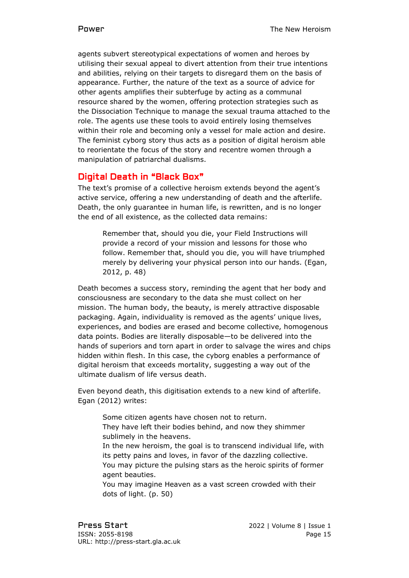agents subvert stereotypical expectations of women and heroes by utilising their sexual appeal to divert attention from their true intentions and abilities, relying on their targets to disregard them on the basis of appearance. Further, the nature of the text as a source of advice for other agents amplifies their subterfuge by acting as a communal resource shared by the women, offering protection strategies such as the Dissociation Technique to manage the sexual trauma attached to the role. The agents use these tools to avoid entirely losing themselves within their role and becoming only a vessel for male action and desire. The feminist cyborg story thus acts as a position of digital heroism able to reorientate the focus of the story and recentre women through a manipulation of patriarchal dualisms.

# Digital Death in "Black Box"

The text's promise of a collective heroism extends beyond the agent's active service, offering a new understanding of death and the afterlife. Death, the only guarantee in human life, is rewritten, and is no longer the end of all existence, as the collected data remains:

Remember that, should you die, your Field Instructions will provide a record of your mission and lessons for those who follow. Remember that, should you die, you will have triumphed merely by delivering your physical person into our hands. (Egan, 2012, p. 48)

Death becomes a success story, reminding the agent that her body and consciousness are secondary to the data she must collect on her mission. The human body, the beauty, is merely attractive disposable packaging. Again, individuality is removed as the agents' unique lives, experiences, and bodies are erased and become collective, homogenous data points. Bodies are literally disposable—to be delivered into the hands of superiors and torn apart in order to salvage the wires and chips hidden within flesh. In this case, the cyborg enables a performance of digital heroism that exceeds mortality, suggesting a way out of the ultimate dualism of life versus death.

Even beyond death, this digitisation extends to a new kind of afterlife. Egan (2012) writes:

Some citizen agents have chosen not to return. They have left their bodies behind, and now they shimmer sublimely in the heavens.

In the new heroism, the goal is to transcend individual life, with its petty pains and loves, in favor of the dazzling collective. You may picture the pulsing stars as the heroic spirits of former agent beauties.

You may imagine Heaven as a vast screen crowded with their dots of light. (p. 50)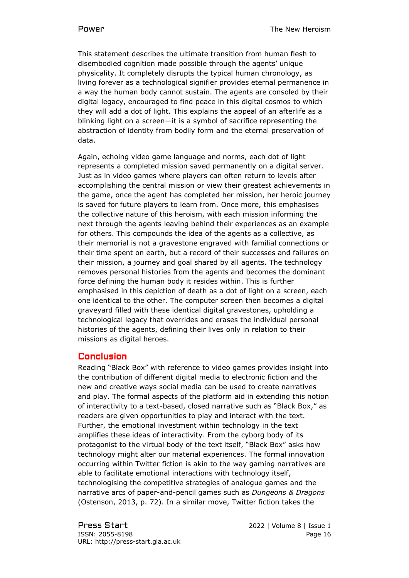This statement describes the ultimate transition from human flesh to disembodied cognition made possible through the agents' unique physicality. It completely disrupts the typical human chronology, as living forever as a technological signifier provides eternal permanence in a way the human body cannot sustain. The agents are consoled by their digital legacy, encouraged to find peace in this digital cosmos to which they will add a dot of light. This explains the appeal of an afterlife as a blinking light on a screen—it is a symbol of sacrifice representing the abstraction of identity from bodily form and the eternal preservation of data.

Again, echoing video game language and norms, each dot of light represents a completed mission saved permanently on a digital server. Just as in video games where players can often return to levels after accomplishing the central mission or view their greatest achievements in the game, once the agent has completed her mission, her heroic journey is saved for future players to learn from. Once more, this emphasises the collective nature of this heroism, with each mission informing the next through the agents leaving behind their experiences as an example for others. This compounds the idea of the agents as a collective, as their memorial is not a gravestone engraved with familial connections or their time spent on earth, but a record of their successes and failures on their mission, a journey and goal shared by all agents. The technology removes personal histories from the agents and becomes the dominant force defining the human body it resides within. This is further emphasised in this depiction of death as a dot of light on a screen, each one identical to the other. The computer screen then becomes a digital graveyard filled with these identical digital gravestones, upholding a technological legacy that overrides and erases the individual personal histories of the agents, defining their lives only in relation to their missions as digital heroes.

### Conclusion

Reading "Black Box" with reference to video games provides insight into the contribution of different digital media to electronic fiction and the new and creative ways social media can be used to create narratives and play. The formal aspects of the platform aid in extending this notion of interactivity to a text-based, closed narrative such as "Black Box," as readers are given opportunities to play and interact with the text. Further, the emotional investment within technology in the text amplifies these ideas of interactivity. From the cyborg body of its protagonist to the virtual body of the text itself, "Black Box" asks how technology might alter our material experiences. The formal innovation occurring within Twitter fiction is akin to the way gaming narratives are able to facilitate emotional interactions with technology itself, technologising the competitive strategies of analogue games and the narrative arcs of paper-and-pencil games such as *Dungeons & Dragons* (Ostenson, 2013, p. 72). In a similar move, Twitter fiction takes the

Press Start 2022 | Volume 8 | Issue 1 ISSN: 2055-8198 Page 16 URL: http://press-start.gla.ac.uk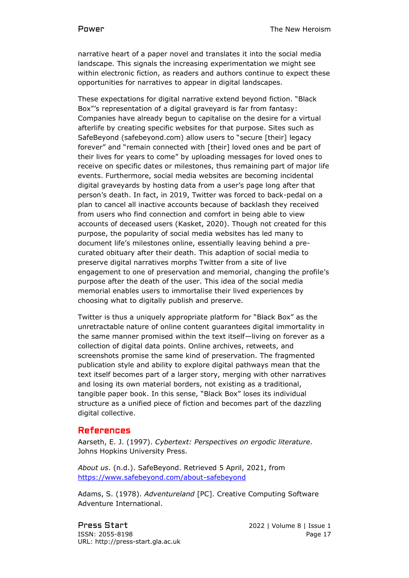narrative heart of a paper novel and translates it into the social media landscape. This signals the increasing experimentation we might see within electronic fiction, as readers and authors continue to expect these opportunities for narratives to appear in digital landscapes.

These expectations for digital narrative extend beyond fiction. "Black Box"'s representation of a digital graveyard is far from fantasy: Companies have already begun to capitalise on the desire for a virtual afterlife by creating specific websites for that purpose. Sites such as SafeBeyond (safebeyond.com) allow users to "secure [their] legacy forever" and "remain connected with [their] loved ones and be part of their lives for years to come" by uploading messages for loved ones to receive on specific dates or milestones, thus remaining part of major life events. Furthermore, social media websites are becoming incidental digital graveyards by hosting data from a user's page long after that person's death. In fact, in 2019, Twitter was forced to back-pedal on a plan to cancel all inactive accounts because of backlash they received from users who find connection and comfort in being able to view accounts of deceased users (Kasket, 2020). Though not created for this purpose, the popularity of social media websites has led many to document life's milestones online, essentially leaving behind a precurated obituary after their death. This adaption of social media to preserve digital narratives morphs Twitter from a site of live engagement to one of preservation and memorial, changing the profile's purpose after the death of the user. This idea of the social media memorial enables users to immortalise their lived experiences by choosing what to digitally publish and preserve.

Twitter is thus a uniquely appropriate platform for "Black Box" as the unretractable nature of online content guarantees digital immortality in the same manner promised within the text itself—living on forever as a collection of digital data points. Online archives, retweets, and screenshots promise the same kind of preservation. The fragmented publication style and ability to explore digital pathways mean that the text itself becomes part of a larger story, merging with other narratives and losing its own material borders, not existing as a traditional, tangible paper book. In this sense, "Black Box" loses its individual structure as a unified piece of fiction and becomes part of the dazzling digital collective.

### References

Aarseth, E. J. (1997). *Cybertext: Perspectives on ergodic literature*. Johns Hopkins University Press.

*About us*. (n.d.). SafeBeyond. Retrieved 5 April, 2021, from <https://www.safebeyond.com/about-safebeyond>

Adams, S. (1978). *Adventureland* [PC]. Creative Computing Software Adventure International.

Press Start 2022 | Volume 8 | Issue 1 ISSN: 2055-8198 Page 17 URL: http://press-start.gla.ac.uk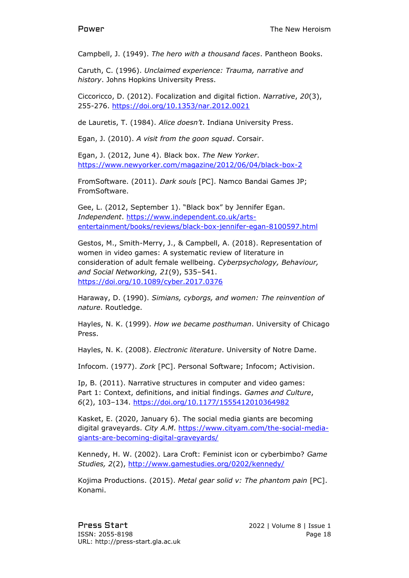Campbell, J. (1949). *The hero with a thousand faces*. Pantheon Books.

Caruth, C. (1996). *Unclaimed experience: Trauma, narrative and history*. Johns Hopkins University Press.

Ciccoricco, D. (2012). Focalization and digital fiction. *Narrative*, *20*(3), 255-276.<https://doi.org/10.1353/nar.2012.0021>

de Lauretis, T. (1984). *Alice doesn't*. Indiana University Press.

Egan, J. (2010). *A visit from the goon squad*. Corsair.

Egan, J. (2012, June 4). Black box. *The New Yorker*. <https://www.newyorker.com/magazine/2012/06/04/black-box-2>

FromSoftware. (2011). *Dark souls* [PC]. Namco Bandai Games JP; FromSoftware.

Gee, L. (2012, September 1). "Black box" by Jennifer Egan. *Independent*. [https://www.independent.co.uk/arts](https://www.independent.co.uk/arts-entertainment/books/reviews/black-box-jennifer-egan-8100597.html)[entertainment/books/reviews/black-box-jennifer-egan-8100597.html](https://www.independent.co.uk/arts-entertainment/books/reviews/black-box-jennifer-egan-8100597.html)

Gestos, M., Smith-Merry, J., & Campbell, A. (2018). Representation of women in video games: A systematic review of literature in consideration of adult female wellbeing. *Cyberpsychology, Behaviour, and Social Networking, 21*(9), 535–541. <https://doi.org/10.1089/cyber.2017.0376>

Haraway, D. (1990). *Simians, cyborgs, and women: The reinvention of nature*. Routledge.

Hayles, N. K. (1999). *How we became posthuman*. University of Chicago Press.

Hayles, N. K. (2008). *Electronic literature*. University of Notre Dame.

Infocom. (1977). *Zork* [PC]. Personal Software; Infocom; Activision.

Ip, B. (2011). Narrative structures in computer and video games: Part 1: Context, definitions, and initial findings. *Games and Culture*, *6*(2), 103–134.<https://doi.org/10.1177/1555412010364982>

Kasket, E. (2020, January 6). The social media giants are becoming digital graveyards. *City A.M*. [https://www.cityam.com/the-social-media](https://www.cityam.com/the-social-media-giants-are-becoming-digital-graveyards/)[giants-are-becoming-digital-graveyards/](https://www.cityam.com/the-social-media-giants-are-becoming-digital-graveyards/)

Kennedy, H. W. (2002). Lara Croft: Feminist icon or cyberbimbo? *Game Studies, 2*(2),<http://www.gamestudies.org/0202/kennedy/>

Kojima Productions. (2015). *Metal gear solid v: The phantom pain* [PC]. Konami.